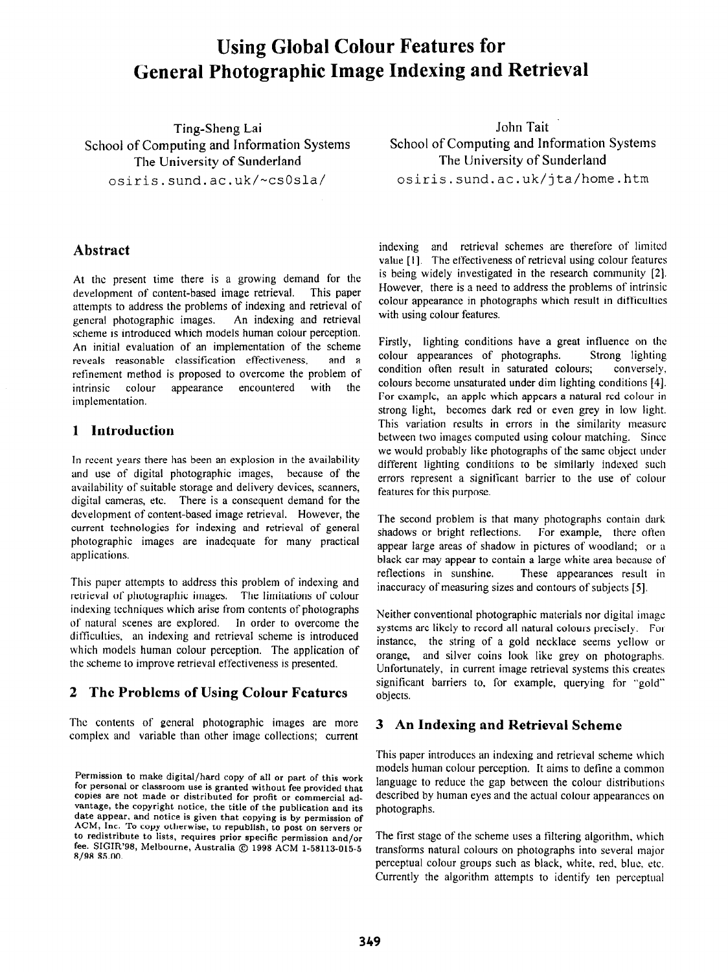# **Using Global Colour Features for General Photographic Image Indexing and Retrieval**

School of Computing and Information Systems School of Computing and Information<br>The University of Sunderland The University of Sunderland The University of Sunderland

### **Abstract**

At the present time there is a growing demand for the development of content-based image retrieval. This paper attempts to address the problems of indexing and retrieval of general photographic images. An indexing and retrieval scheme is introduced which models human colour perception. An initial evaluation of an implementation of the scheme reveals reasonable classification effectiveness, and a refinement method is proposed to overcome the problem of intrinsic colour appearance encountered with the implementation.

#### **1 Introduction**

In recent years there has been an explosion in the availability and use of digital photographic images, because of the availability of suitable storage and delivery devices, scanners, digital cameras, etc. There is a consequent demand for the development of content-based image retrieval. However, the current technologies for indexing and retrieval of general photographic images are inadequate for many practical applications.

This paper attempts to address this problem of indexing and retrieval of photographic images. The limitations of colour indexing techniques which arise from contents of photographs of natural scenes are explored. In order to overcome the difficulties, an indexing and retrieval scheme is introduced which models human colour perception. The application of the scheme lo improve retrieval effectiveness is presented.

## **2 The Problems of Using Colour Features**

The contents of general photographic images are more complex and variable than other image collections; current

Ting-Sheng Lai Iohn Tait<br>
puting and Information Systems<br>
School of Computing and Information Systems osiris.sund.ac.uk/-csOsla/ osiris.sund.ac.uk/jta/home.htm

> indexing and retrieval schemes are therefore of limited value [I]. The effectiveness of retrieval using colour features is being widely investigated in the research community [2]. However, there is a need to address the problems of intrinsic colour appearance in photographs which result in difficuhics with using colour features.

> Firstly, lighting conditions have a great influence on the colour appearances of photographs. Strong lighting condition often result in saturated colours; conversely. colours become unsaturated under dim lighting conditions [4]. For example, an apple which appears a natural red colour in strong light, becomes dark red or even grey in low light. This variation results in errors in the similarity measure between two images computed using colour matching. Since we would probably like photographs of the same object under different lighting conditions to be similarly indexed such errors represent a significant barrier to the use of colour features for this purpose.

> The second problem is that many photographs contain dark shadows or bright reflections. For example, there often For example, there often appear large areas of shadow in pictures of woodland; or a black car may appear to contain a large white area because of reflections in sunshine. These appearances result in inaccuracy of measuring sizes and contours of subjects [5].

> Neither conventional photographic materials nor digital image systems are likely to record all natural colours precisely. For instance, the string of a gold necklace seems yellow or orange, and silver coins look like grey on photographs. Unfortunately, in current image retrieval systems this creates significant barriers to, for example, querying for "gold" objects.

#### **3 An Indexing and Retrieval Scheme**

This paper introduces an indexing and retrieval scheme which models human colour perception. It aims to define a common language to reduce the gap between the colour distributions described by human eyes and the actual colour appearances on photographs.

The first stage of the scheme uses a filtering algorithm, which transforms natural colours on photographs into several major perceptual colour groups such as black, white, red. blue. etc. Currently the algorithm attempts to identify ten perceptual

Permission to **make digital/hard copy of all or part of this work for personal or classroom use is granted without fee provided that copies are not made or distributed for profit or commercial advantage, the copyright notice, the title of the publication and its date appear, and notice is given that copying is by permission of ACM, Inc. To copy otherwise, to republish, to post on servers or to redistribute to lists, requires prior specific permission and/or**  fee. SIGIR'98, Melbourne, Australia © 1998 ACM 1-58113-015-5 **8/98 \$5.00.**